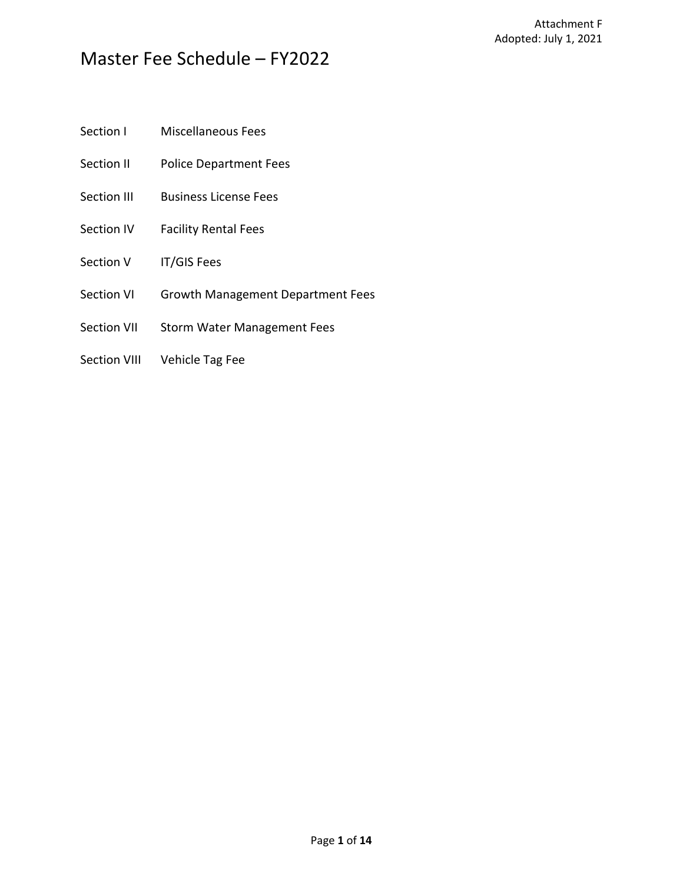- Section I Miscellaneous Fees
- Section II Police Department Fees
- Section III Business License Fees
- Section IV Facility Rental Fees
- Section V IT/GIS Fees
- Section VI Growth Management Department Fees
- Section VII Storm Water Management Fees
- Section VIII Vehicle Tag Fee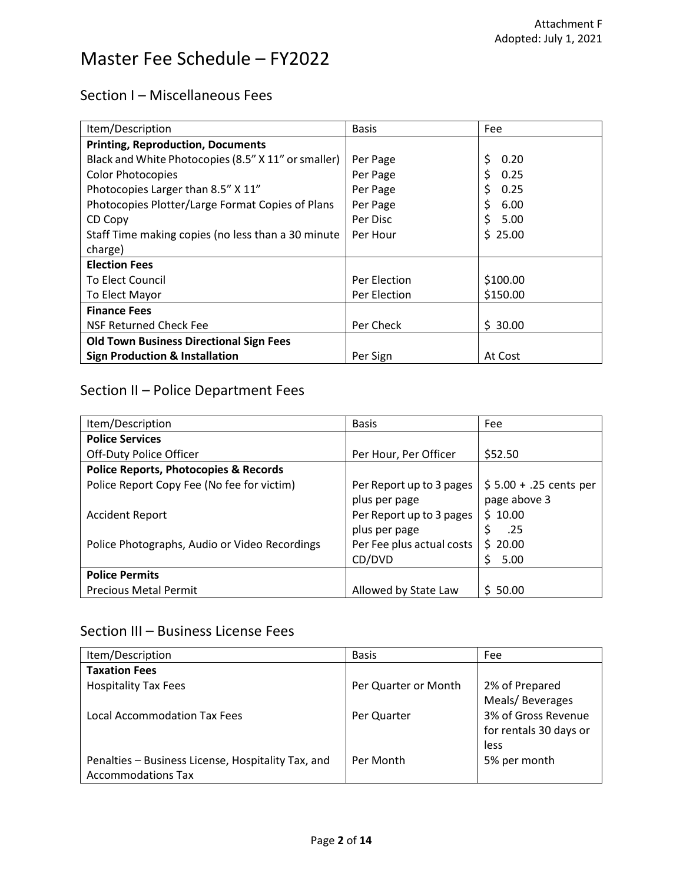### Section I – Miscellaneous Fees

| Item/Description                                    | <b>Basis</b> | Fee        |
|-----------------------------------------------------|--------------|------------|
| <b>Printing, Reproduction, Documents</b>            |              |            |
| Black and White Photocopies (8.5" X 11" or smaller) | Per Page     | \$<br>0.20 |
| <b>Color Photocopies</b>                            | Per Page     | Ś<br>0.25  |
| Photocopies Larger than 8.5" X 11"                  | Per Page     | 0.25       |
| Photocopies Plotter/Large Format Copies of Plans    | Per Page     | \$<br>6.00 |
| CD Copy                                             | Per Disc     | 5.00       |
| Staff Time making copies (no less than a 30 minute  | Per Hour     | \$25.00    |
| charge)                                             |              |            |
| <b>Election Fees</b>                                |              |            |
| <b>To Elect Council</b>                             | Per Election | \$100.00   |
| To Elect Mayor                                      | Per Election | \$150.00   |
| <b>Finance Fees</b>                                 |              |            |
| NSF Returned Check Fee                              | Per Check    | \$30.00    |
| <b>Old Town Business Directional Sign Fees</b>      |              |            |
| <b>Sign Production &amp; Installation</b>           | Per Sign     | At Cost    |

## Section II – Police Department Fees

| Item/Description                                 | <b>Basis</b>              | Fee                     |
|--------------------------------------------------|---------------------------|-------------------------|
| <b>Police Services</b>                           |                           |                         |
| Off-Duty Police Officer                          | Per Hour, Per Officer     | \$52.50                 |
| <b>Police Reports, Photocopies &amp; Records</b> |                           |                         |
| Police Report Copy Fee (No fee for victim)       | Per Report up to 3 pages  | $$5.00 + .25$ cents per |
|                                                  | plus per page             | page above 3            |
| <b>Accident Report</b>                           | Per Report up to 3 pages  | \$10.00                 |
|                                                  | plus per page             | \$<br>.25               |
| Police Photographs, Audio or Video Recordings    | Per Fee plus actual costs | \$20.00                 |
|                                                  | CD/DVD                    | Ś.<br>5.00              |
| <b>Police Permits</b>                            |                           |                         |
| <b>Precious Metal Permit</b>                     | Allowed by State Law      | \$50.00                 |

### Section III – Business License Fees

| Item/Description                                   | <b>Basis</b>         | Fee                    |
|----------------------------------------------------|----------------------|------------------------|
| <b>Taxation Fees</b>                               |                      |                        |
| <b>Hospitality Tax Fees</b>                        | Per Quarter or Month | 2% of Prepared         |
|                                                    |                      | Meals/Beverages        |
| <b>Local Accommodation Tax Fees</b>                | Per Quarter          | 3% of Gross Revenue    |
|                                                    |                      | for rentals 30 days or |
|                                                    |                      | less                   |
| Penalties - Business License, Hospitality Tax, and | Per Month            | 5% per month           |
| <b>Accommodations Tax</b>                          |                      |                        |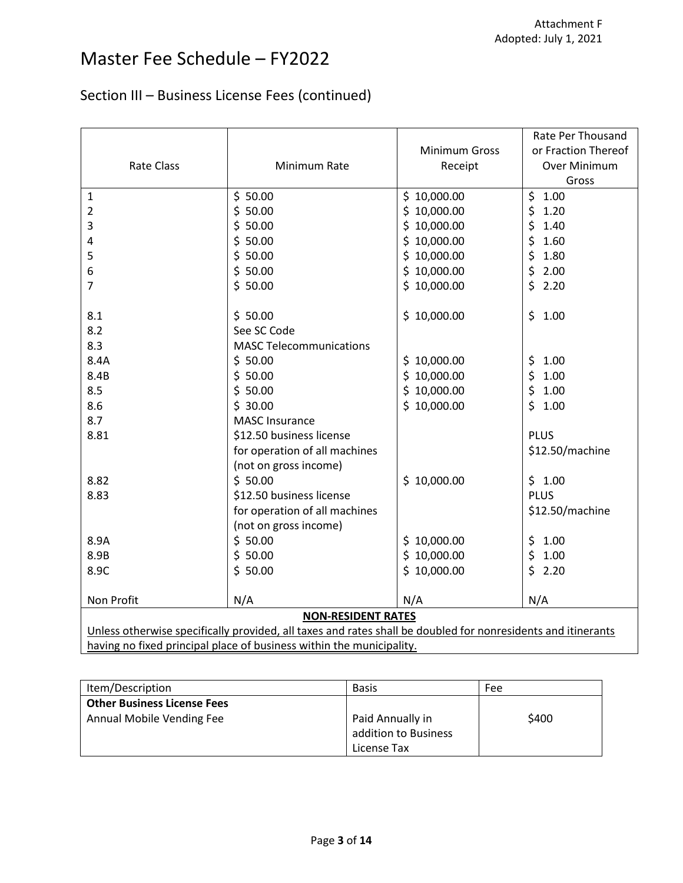## Section III – Business License Fees (continued)

|                                                                                                              |                                |                 | Rate Per Thousand   |
|--------------------------------------------------------------------------------------------------------------|--------------------------------|-----------------|---------------------|
|                                                                                                              |                                | Minimum Gross   | or Fraction Thereof |
| <b>Rate Class</b>                                                                                            | Minimum Rate                   | Receipt         | Over Minimum        |
|                                                                                                              |                                |                 | Gross               |
| 1                                                                                                            | \$50.00                        | \$10,000.00     | \$<br>1.00          |
| 2                                                                                                            | \$50.00                        | \$<br>10,000.00 | \$<br>1.20          |
| 3                                                                                                            | \$50.00                        | \$<br>10,000.00 | \$<br>1.40          |
| 4                                                                                                            | \$50.00                        | \$10,000.00     | \$<br>1.60          |
| 5                                                                                                            | \$50.00                        | \$10,000.00     | \$<br>1.80          |
| 6                                                                                                            | \$50.00                        | \$10,000.00     | \$<br>2.00          |
| 7                                                                                                            | \$50.00                        | \$10,000.00     | \$<br>2.20          |
|                                                                                                              |                                |                 |                     |
| 8.1                                                                                                          | \$50.00                        | \$10,000.00     | \$<br>1.00          |
| 8.2                                                                                                          | See SC Code                    |                 |                     |
| 8.3                                                                                                          | <b>MASC Telecommunications</b> |                 |                     |
| 8.4A                                                                                                         | \$50.00                        | \$10,000.00     | 1.00<br>\$          |
| 8.4B                                                                                                         | \$50.00                        | \$<br>10,000.00 | \$<br>1.00          |
| 8.5                                                                                                          | \$50.00                        | \$<br>10,000.00 | \$<br>1.00          |
| 8.6                                                                                                          | \$30.00                        | \$10,000.00     | \$<br>1.00          |
| 8.7                                                                                                          | <b>MASC Insurance</b>          |                 |                     |
| 8.81                                                                                                         | \$12.50 business license       |                 | <b>PLUS</b>         |
|                                                                                                              | for operation of all machines  |                 | \$12.50/machine     |
|                                                                                                              | (not on gross income)          |                 |                     |
| 8.82                                                                                                         | \$50.00                        | \$10,000.00     | \$1.00              |
| 8.83                                                                                                         | \$12.50 business license       |                 | <b>PLUS</b>         |
|                                                                                                              | for operation of all machines  |                 | \$12.50/machine     |
|                                                                                                              | (not on gross income)          |                 |                     |
| 8.9A                                                                                                         | \$50.00                        | \$10,000.00     | \$<br>1.00          |
| 8.9B                                                                                                         | \$50.00                        | \$10,000.00     | \$<br>1.00          |
| 8.9C                                                                                                         | \$50.00                        | \$10,000.00     | \$<br>2.20          |
|                                                                                                              |                                |                 |                     |
| Non Profit                                                                                                   | N/A                            | N/A             | N/A                 |
| <b>NON-RESIDENT RATES</b>                                                                                    |                                |                 |                     |
| Unless otherwise specifically provided, all taxes and rates shall be doubled for nonresidents and itinerants |                                |                 |                     |
| having no fixed principal place of business within the municipality.                                         |                                |                 |                     |

| Item/Description                   | <b>Basis</b>         | Fee   |
|------------------------------------|----------------------|-------|
| <b>Other Business License Fees</b> |                      |       |
| Annual Mobile Vending Fee          | Paid Annually in     | \$400 |
|                                    | addition to Business |       |
|                                    | License Tax          |       |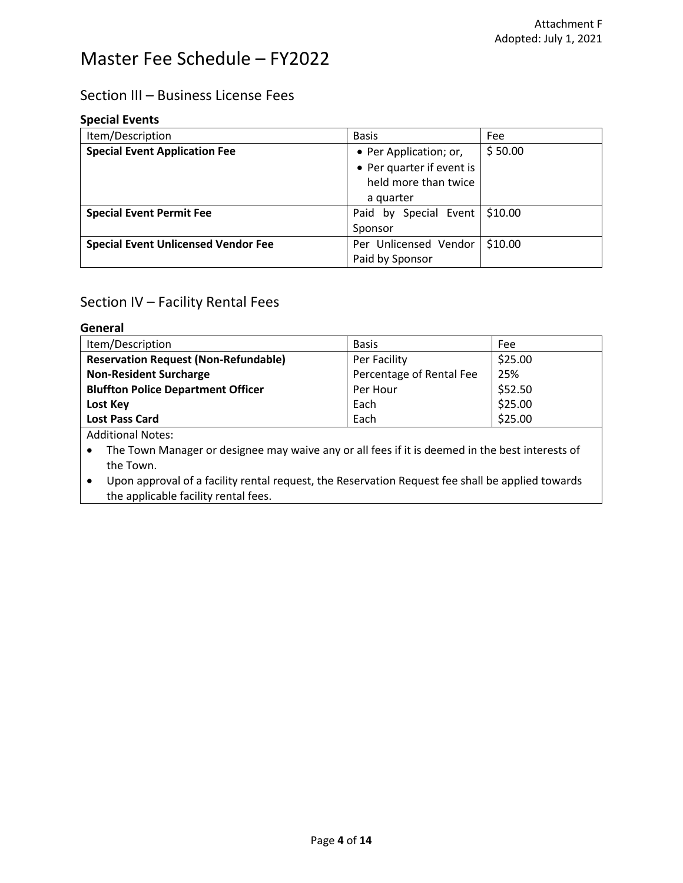### Section III – Business License Fees

#### **Special Events**

| Item/Description                           | <b>Basis</b>                    | Fee     |
|--------------------------------------------|---------------------------------|---------|
| <b>Special Event Application Fee</b>       | • Per Application; or,          | \$50.00 |
|                                            | • Per quarter if event is       |         |
|                                            | held more than twice            |         |
|                                            | a quarter                       |         |
| <b>Special Event Permit Fee</b>            | Paid by Special Event   \$10.00 |         |
|                                            | Sponsor                         |         |
| <b>Special Event Unlicensed Vendor Fee</b> | Per Unlicensed Vendor           | \$10.00 |
|                                            | Paid by Sponsor                 |         |

### Section IV – Facility Rental Fees

#### **General**

| Item/Description                                                                                                                                      | <b>Basis</b>             | Fee     |  |
|-------------------------------------------------------------------------------------------------------------------------------------------------------|--------------------------|---------|--|
| <b>Reservation Request (Non-Refundable)</b>                                                                                                           | Per Facility             | \$25.00 |  |
| <b>Non-Resident Surcharge</b>                                                                                                                         | Percentage of Rental Fee | 25%     |  |
| <b>Bluffton Police Department Officer</b>                                                                                                             | Per Hour                 | \$52.50 |  |
| Lost Key                                                                                                                                              | Each                     | \$25.00 |  |
| <b>Lost Pass Card</b>                                                                                                                                 | Each                     | \$25.00 |  |
| <b>Additional Notes:</b>                                                                                                                              |                          |         |  |
| The Town Manager or designee may waive any or all fees if it is deemed in the best interests of                                                       |                          |         |  |
| the Town.                                                                                                                                             |                          |         |  |
| Upon approval of a facility rental request, the Reservation Request fee shall be applied towards<br>$\bullet$<br>the applicable facility rental fees. |                          |         |  |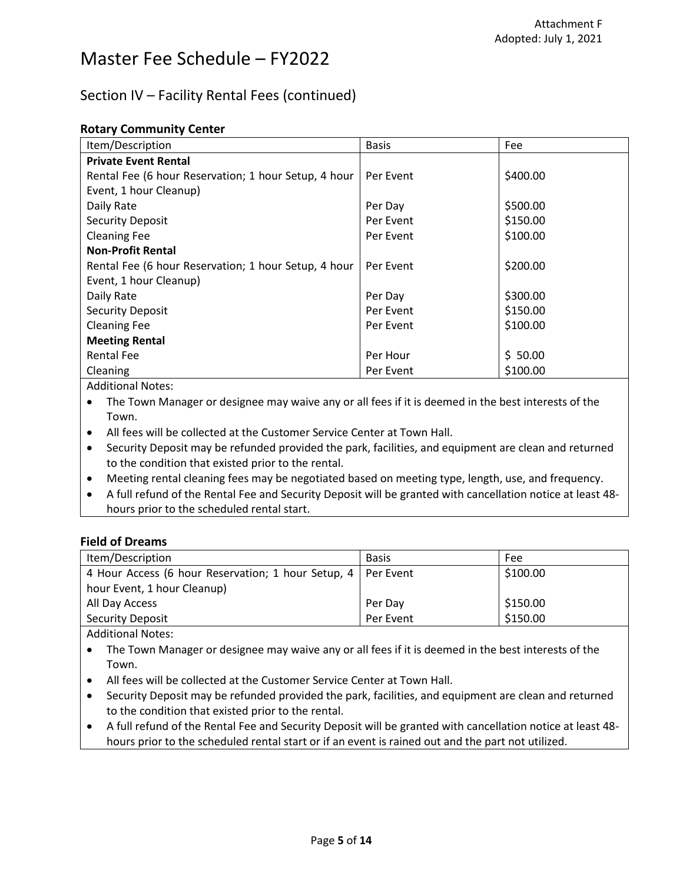### Section IV – Facility Rental Fees (continued)

|  | <b>Rotary Community Center</b> |  |
|--|--------------------------------|--|
|--|--------------------------------|--|

| Item/Description                                     | <b>Basis</b> | Fee      |
|------------------------------------------------------|--------------|----------|
| <b>Private Event Rental</b>                          |              |          |
| Rental Fee (6 hour Reservation; 1 hour Setup, 4 hour | Per Event    | \$400.00 |
| Event, 1 hour Cleanup)                               |              |          |
| Daily Rate                                           | Per Day      | \$500.00 |
| <b>Security Deposit</b>                              | Per Event    | \$150.00 |
| <b>Cleaning Fee</b>                                  | Per Event    | \$100.00 |
| <b>Non-Profit Rental</b>                             |              |          |
| Rental Fee (6 hour Reservation; 1 hour Setup, 4 hour | Per Event    | \$200.00 |
| Event, 1 hour Cleanup)                               |              |          |
| Daily Rate                                           | Per Day      | \$300.00 |
| <b>Security Deposit</b>                              | Per Event    | \$150.00 |
| <b>Cleaning Fee</b>                                  | Per Event    | \$100.00 |
| <b>Meeting Rental</b>                                |              |          |
| <b>Rental Fee</b>                                    | Per Hour     | \$50.00  |
| Cleaning                                             | Per Event    | \$100.00 |
|                                                      |              |          |

Additional Notes:

• The Town Manager or designee may waive any or all fees if it is deemed in the best interests of the Town.

• All fees will be collected at the Customer Service Center at Town Hall.

- Security Deposit may be refunded provided the park, facilities, and equipment are clean and returned to the condition that existed prior to the rental.
- Meeting rental cleaning fees may be negotiated based on meeting type, length, use, and frequency.
- A full refund of the Rental Fee and Security Deposit will be granted with cancellation notice at least 48 hours prior to the scheduled rental start.

#### **Field of Dreams**

| Item/Description                                               | <b>Basis</b> | Fee      |
|----------------------------------------------------------------|--------------|----------|
| 4 Hour Access (6 hour Reservation; 1 hour Setup, 4   Per Event |              | \$100.00 |
| hour Event, 1 hour Cleanup)                                    |              |          |
| All Day Access                                                 | Per Day      | \$150.00 |
| <b>Security Deposit</b>                                        | Per Event    | \$150.00 |

Additional Notes:

- The Town Manager or designee may waive any or all fees if it is deemed in the best interests of the Town.
- All fees will be collected at the Customer Service Center at Town Hall.
- Security Deposit may be refunded provided the park, facilities, and equipment are clean and returned to the condition that existed prior to the rental.
- A full refund of the Rental Fee and Security Deposit will be granted with cancellation notice at least 48 hours prior to the scheduled rental start or if an event is rained out and the part not utilized.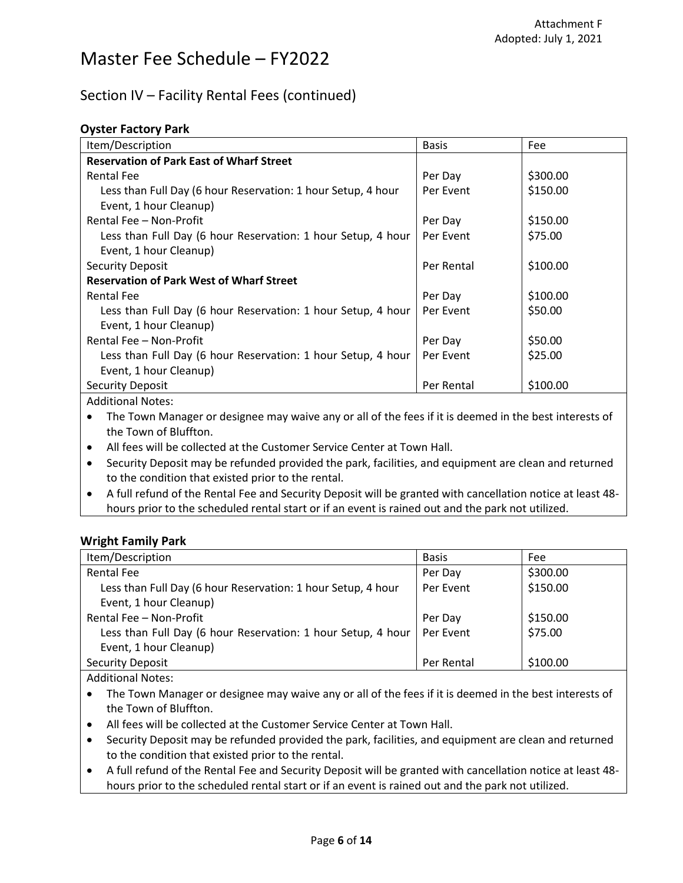#### Section IV – Facility Rental Fees (continued)

#### **Oyster Factory Park**

| Item/Description                                             | <b>Basis</b> | Fee      |
|--------------------------------------------------------------|--------------|----------|
| <b>Reservation of Park East of Wharf Street</b>              |              |          |
| <b>Rental Fee</b>                                            | Per Day      | \$300.00 |
| Less than Full Day (6 hour Reservation: 1 hour Setup, 4 hour | Per Event    | \$150.00 |
| Event, 1 hour Cleanup)                                       |              |          |
| Rental Fee - Non-Profit                                      | Per Day      | \$150.00 |
| Less than Full Day (6 hour Reservation: 1 hour Setup, 4 hour | Per Event    | \$75.00  |
| Event, 1 hour Cleanup)                                       |              |          |
| <b>Security Deposit</b>                                      | Per Rental   | \$100.00 |
| <b>Reservation of Park West of Wharf Street</b>              |              |          |
| <b>Rental Fee</b>                                            | Per Day      | \$100.00 |
| Less than Full Day (6 hour Reservation: 1 hour Setup, 4 hour | Per Event    | \$50.00  |
| Event, 1 hour Cleanup)                                       |              |          |
| Rental Fee - Non-Profit                                      | Per Day      | \$50.00  |
| Less than Full Day (6 hour Reservation: 1 hour Setup, 4 hour | Per Event    | \$25.00  |
| Event, 1 hour Cleanup)                                       |              |          |
| <b>Security Deposit</b>                                      | Per Rental   | \$100.00 |
| <b>Additional Notes:</b>                                     |              |          |

• The Town Manager or designee may waive any or all of the fees if it is deemed in the best interests of the Town of Bluffton.

• All fees will be collected at the Customer Service Center at Town Hall.

- Security Deposit may be refunded provided the park, facilities, and equipment are clean and returned to the condition that existed prior to the rental.
- A full refund of the Rental Fee and Security Deposit will be granted with cancellation notice at least 48 hours prior to the scheduled rental start or if an event is rained out and the park not utilized.

#### **Wright Family Park**

| Item/Description                                             | <b>Basis</b> | Fee      |
|--------------------------------------------------------------|--------------|----------|
| <b>Rental Fee</b>                                            | Per Day      | \$300.00 |
| Less than Full Day (6 hour Reservation: 1 hour Setup, 4 hour | Per Event    | \$150.00 |
| Event, 1 hour Cleanup)                                       |              |          |
| Rental Fee - Non-Profit                                      | Per Day      | \$150.00 |
| Less than Full Day (6 hour Reservation: 1 hour Setup, 4 hour | Per Event    | \$75.00  |
| Event, 1 hour Cleanup)                                       |              |          |
| <b>Security Deposit</b>                                      | Per Rental   | \$100.00 |
|                                                              |              |          |

Additional Notes:

- The Town Manager or designee may waive any or all of the fees if it is deemed in the best interests of the Town of Bluffton.
- All fees will be collected at the Customer Service Center at Town Hall.
- Security Deposit may be refunded provided the park, facilities, and equipment are clean and returned to the condition that existed prior to the rental.
- A full refund of the Rental Fee and Security Deposit will be granted with cancellation notice at least 48 hours prior to the scheduled rental start or if an event is rained out and the park not utilized.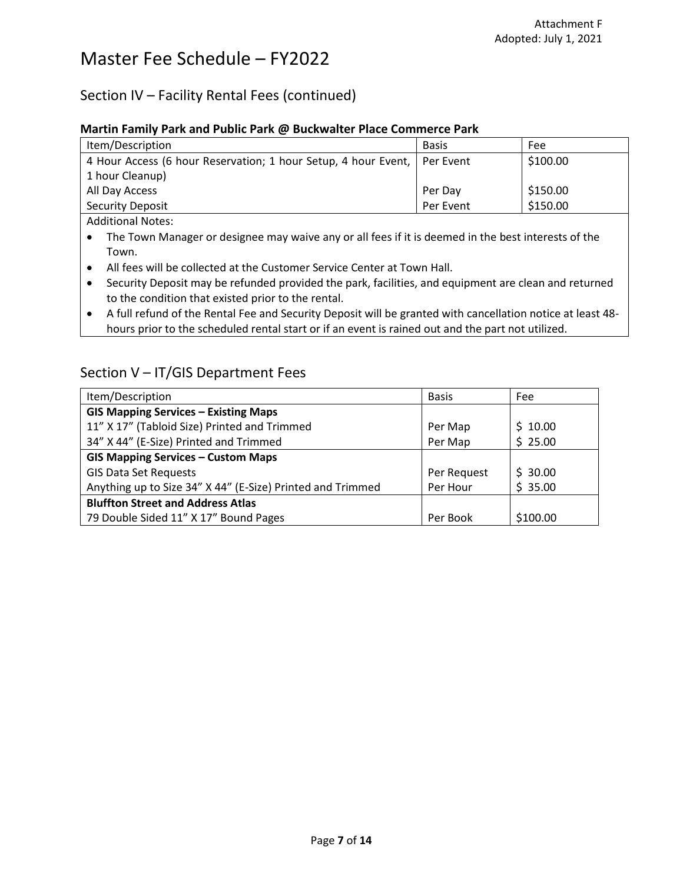### Section IV – Facility Rental Fees (continued)

#### **Martin Family Park and Public Park @ Buckwalter Place Commerce Park**

| Item/Description                                                         | <b>Basis</b> | Fee      |
|--------------------------------------------------------------------------|--------------|----------|
| 4 Hour Access (6 hour Reservation; 1 hour Setup, 4 hour Event, Per Event |              | \$100.00 |
| 1 hour Cleanup)                                                          |              |          |
| All Day Access                                                           | Per Day      | \$150.00 |
| <b>Security Deposit</b>                                                  | Per Event    | \$150.00 |
| <b>Additional Notes:</b>                                                 |              |          |

- The Town Manager or designee may waive any or all fees if it is deemed in the best interests of the Town.
- All fees will be collected at the Customer Service Center at Town Hall.
- Security Deposit may be refunded provided the park, facilities, and equipment are clean and returned to the condition that existed prior to the rental.
- A full refund of the Rental Fee and Security Deposit will be granted with cancellation notice at least 48 hours prior to the scheduled rental start or if an event is rained out and the part not utilized.

### Section V – IT/GIS Department Fees

| Item/Description                                           | <b>Basis</b> | Fee      |
|------------------------------------------------------------|--------------|----------|
| <b>GIS Mapping Services - Existing Maps</b>                |              |          |
| 11" X 17" (Tabloid Size) Printed and Trimmed               | Per Map      | \$10.00  |
| 34" X 44" (E-Size) Printed and Trimmed                     | Per Map      | \$25.00  |
| <b>GIS Mapping Services - Custom Maps</b>                  |              |          |
| <b>GIS Data Set Requests</b>                               | Per Request  | \$30.00  |
| Anything up to Size 34" X 44" (E-Size) Printed and Trimmed | Per Hour     | \$35.00  |
| <b>Bluffton Street and Address Atlas</b>                   |              |          |
| 79 Double Sided 11" X 17" Bound Pages                      | Per Book     | \$100.00 |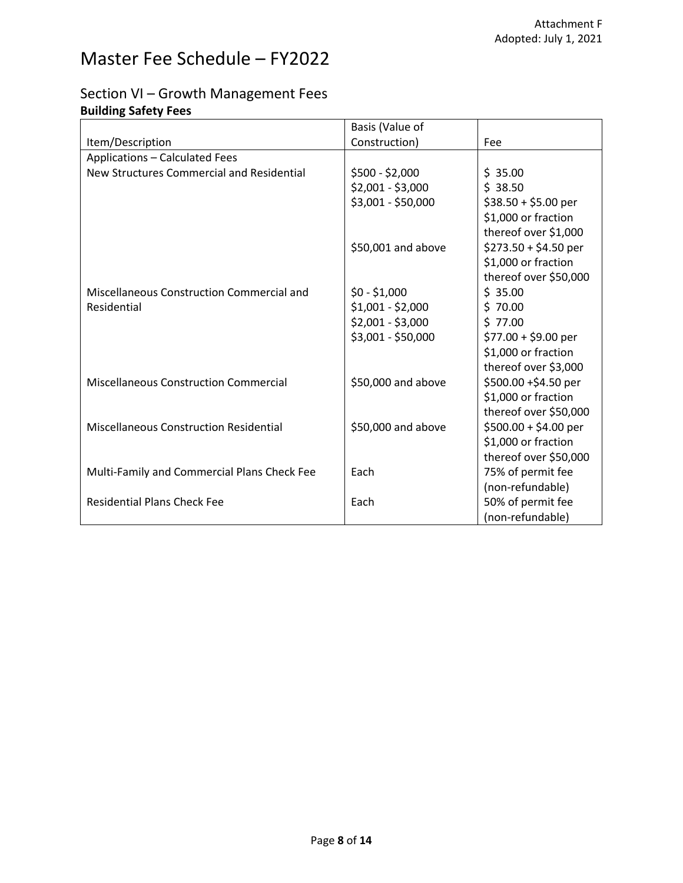### Section VI – Growth Management Fees **Building Safety Fees**

|                                               | Basis (Value of    |                       |
|-----------------------------------------------|--------------------|-----------------------|
| Item/Description                              | Construction)      | Fee                   |
| <b>Applications - Calculated Fees</b>         |                    |                       |
| New Structures Commercial and Residential     | \$500 - \$2,000    | \$35.00               |
|                                               | $$2,001 - $3,000$  | \$38.50               |
|                                               | \$3,001 - \$50,000 | $$38.50 + $5.00$ per  |
|                                               |                    | \$1,000 or fraction   |
|                                               |                    | thereof over \$1,000  |
|                                               | \$50,001 and above | $$273.50 + $4.50$ per |
|                                               |                    | \$1,000 or fraction   |
|                                               |                    | thereof over \$50,000 |
| Miscellaneous Construction Commercial and     | $$0 - $1,000$      | \$35.00               |
| Residential                                   | $$1,001 - $2,000$  | \$70.00               |
|                                               | $$2,001 - $3,000$  | \$77.00               |
|                                               | \$3,001 - \$50,000 | $$77.00 + $9.00$ per  |
|                                               |                    | \$1,000 or fraction   |
|                                               |                    | thereof over \$3,000  |
| <b>Miscellaneous Construction Commercial</b>  | \$50,000 and above | \$500.00 +\$4.50 per  |
|                                               |                    | \$1,000 or fraction   |
|                                               |                    | thereof over \$50,000 |
| <b>Miscellaneous Construction Residential</b> | \$50,000 and above | $$500.00 + $4.00$ per |
|                                               |                    | \$1,000 or fraction   |
|                                               |                    | thereof over \$50,000 |
| Multi-Family and Commercial Plans Check Fee   | Each               | 75% of permit fee     |
|                                               |                    | (non-refundable)      |
| <b>Residential Plans Check Fee</b>            | Each               | 50% of permit fee     |
|                                               |                    | (non-refundable)      |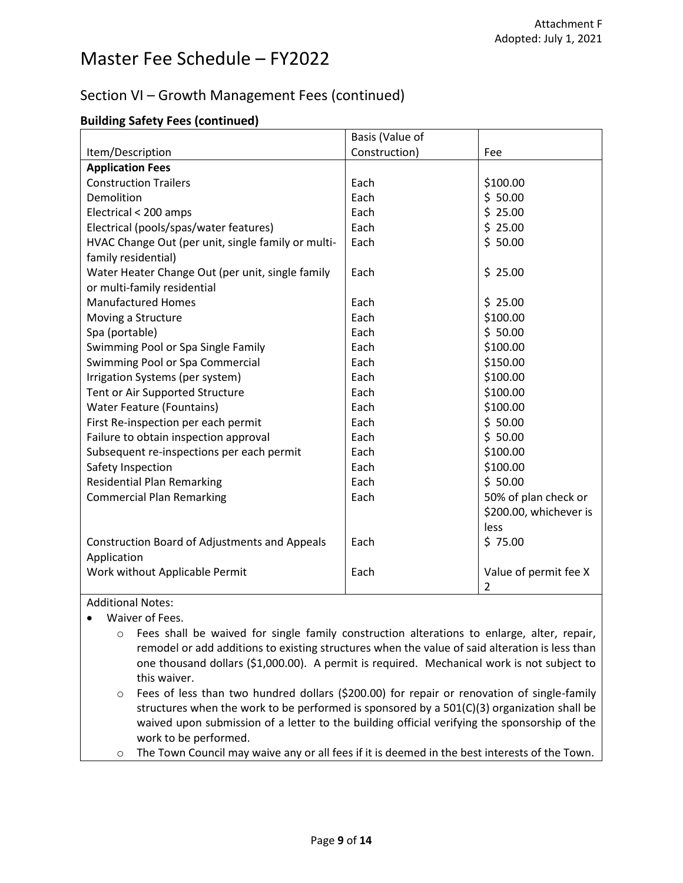### Section VI – Growth Management Fees (continued)

#### **Building Safety Fees (continued)**

|                                                      | Basis (Value of |                        |
|------------------------------------------------------|-----------------|------------------------|
| Item/Description                                     | Construction)   | Fee                    |
| <b>Application Fees</b>                              |                 |                        |
| <b>Construction Trailers</b>                         | Each            | \$100.00               |
| Demolition                                           | Each            | \$50.00                |
| Electrical < 200 amps                                | Each            | \$25.00                |
| Electrical (pools/spas/water features)               | Each            | \$25.00                |
| HVAC Change Out (per unit, single family or multi-   | Each            | \$50.00                |
| family residential)                                  |                 |                        |
| Water Heater Change Out (per unit, single family     | Each            | \$25.00                |
| or multi-family residential                          |                 |                        |
| <b>Manufactured Homes</b>                            | Each            | \$25.00                |
| Moving a Structure                                   | Each            | \$100.00               |
| Spa (portable)                                       | Each            | \$50.00                |
| Swimming Pool or Spa Single Family                   | Each            | \$100.00               |
| Swimming Pool or Spa Commercial                      | Each            | \$150.00               |
| Irrigation Systems (per system)                      | Each            | \$100.00               |
| Tent or Air Supported Structure                      | Each            | \$100.00               |
| <b>Water Feature (Fountains)</b>                     | Each            | \$100.00               |
| First Re-inspection per each permit                  | Each            | \$50.00                |
| Failure to obtain inspection approval                | Each            | \$50.00                |
| Subsequent re-inspections per each permit            | Each            | \$100.00               |
| Safety Inspection                                    | Each            | \$100.00               |
| <b>Residential Plan Remarking</b>                    | Each            | \$50.00                |
| <b>Commercial Plan Remarking</b>                     | Each            | 50% of plan check or   |
|                                                      |                 | \$200.00, whichever is |
|                                                      |                 | less                   |
| <b>Construction Board of Adjustments and Appeals</b> | Each            | \$75.00                |
| Application                                          |                 |                        |
| Work without Applicable Permit                       | Each            | Value of permit fee X  |
|                                                      |                 | $\overline{2}$         |

Additional Notes:

• Waiver of Fees.

- o Fees shall be waived for single family construction alterations to enlarge, alter, repair, remodel or add additions to existing structures when the value of said alteration is less than one thousand dollars (\$1,000.00). A permit is required. Mechanical work is not subject to this waiver.
- o Fees of less than two hundred dollars (\$200.00) for repair or renovation of single-family structures when the work to be performed is sponsored by a  $501(C)(3)$  organization shall be waived upon submission of a letter to the building official verifying the sponsorship of the work to be performed.
- $\circ$  The Town Council may waive any or all fees if it is deemed in the best interests of the Town.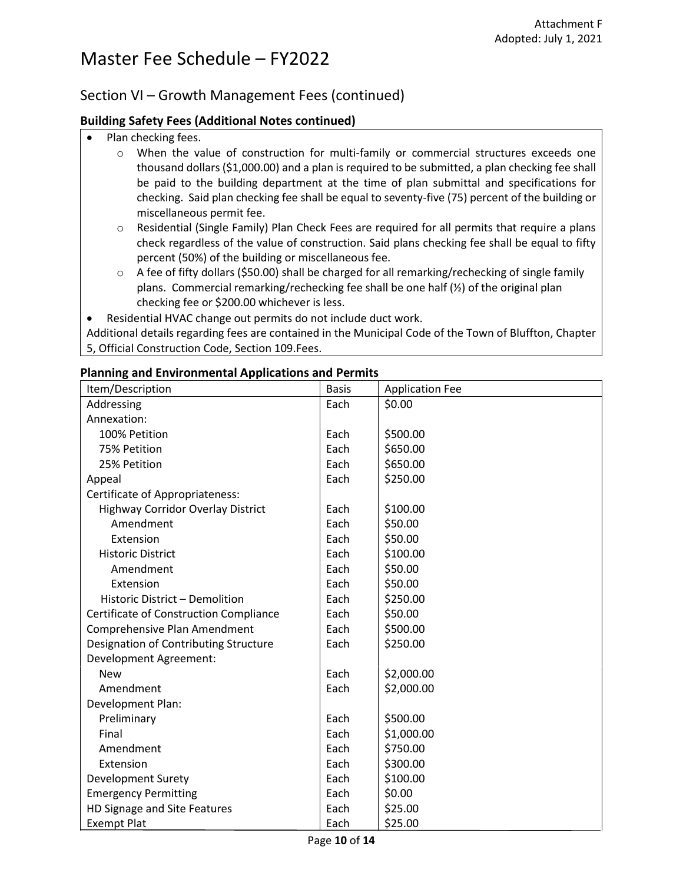#### Section VI – Growth Management Fees (continued)

#### **Building Safety Fees (Additional Notes continued)**

- Plan checking fees.
	- o When the value of construction for multi-family or commercial structures exceeds one thousand dollars (\$1,000.00) and a plan is required to be submitted, a plan checking fee shall be paid to the building department at the time of plan submittal and specifications for checking. Said plan checking fee shall be equal to seventy-five (75) percent of the building or miscellaneous permit fee.
	- o Residential (Single Family) Plan Check Fees are required for all permits that require a plans check regardless of the value of construction. Said plans checking fee shall be equal to fifty percent (50%) of the building or miscellaneous fee.
	- $\circ$  A fee of fifty dollars (\$50.00) shall be charged for all remarking/rechecking of single family plans. Commercial remarking/rechecking fee shall be one half  $(\frac{1}{2})$  of the original plan checking fee or \$200.00 whichever is less.
- Residential HVAC change out permits do not include duct work.

Additional details regarding fees are contained in the Municipal Code of the Town of Bluffton, Chapter 5, Official Construction Code, Section 109.Fees.

| Item/Description                         | <b>Basis</b> | <b>Application Fee</b> |
|------------------------------------------|--------------|------------------------|
| Addressing                               | Each         | \$0.00                 |
| Annexation:                              |              |                        |
| 100% Petition                            | Each         | \$500.00               |
| 75% Petition                             | Each         | \$650.00               |
| 25% Petition                             | Each         | \$650.00               |
| Appeal                                   | Each         | \$250.00               |
| <b>Certificate of Appropriateness:</b>   |              |                        |
| <b>Highway Corridor Overlay District</b> | Each         | \$100.00               |
| Amendment                                | Each         | \$50.00                |
| Extension                                | Each         | \$50.00                |
| <b>Historic District</b>                 | Each         | \$100.00               |
| Amendment                                | Each         | \$50.00                |
| Extension                                | Each         | \$50.00                |
| Historic District - Demolition           | Each         | \$250.00               |
| Certificate of Construction Compliance   | Each         | \$50.00                |
| Comprehensive Plan Amendment             | Each         | \$500.00               |
| Designation of Contributing Structure    | Each         | \$250.00               |
| <b>Development Agreement:</b>            |              |                        |
| <b>New</b>                               | Each         | \$2,000.00             |
| Amendment                                | Each         | \$2,000.00             |
| Development Plan:                        |              |                        |
| Preliminary                              | Each         | \$500.00               |
| Final                                    | Each         | \$1,000.00             |
| Amendment                                | Each         | \$750.00               |
| Extension                                | Each         | \$300.00               |
| <b>Development Surety</b>                | Each         | \$100.00               |
| <b>Emergency Permitting</b>              | Each         | \$0.00                 |
| HD Signage and Site Features             | Each         | \$25.00                |
| <b>Exempt Plat</b>                       | Each         | \$25.00                |

#### **Planning and Environmental Applications and Permits**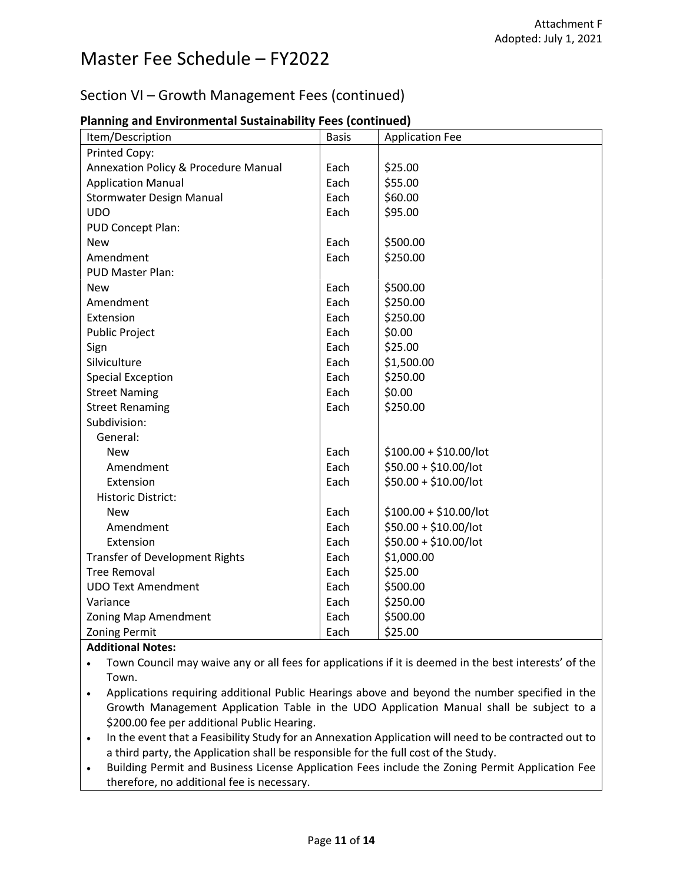### Section VI – Growth Management Fees (continued)

| Item/Description                      | <b>Basis</b> | <b>Application Fee</b>  |
|---------------------------------------|--------------|-------------------------|
| Printed Copy:                         |              |                         |
| Annexation Policy & Procedure Manual  | Each         | \$25.00                 |
| <b>Application Manual</b>             | Each         | \$55.00                 |
| Stormwater Design Manual              | Each         | \$60.00                 |
| <b>UDO</b>                            | Each         | \$95.00                 |
| PUD Concept Plan:                     |              |                         |
| <b>New</b>                            | Each         | \$500.00                |
| Amendment                             | Each         | \$250.00                |
| PUD Master Plan:                      |              |                         |
| <b>New</b>                            | Each         | \$500.00                |
| Amendment                             | Each         | \$250.00                |
| Extension                             | Each         | \$250.00                |
| <b>Public Project</b>                 | Each         | \$0.00                  |
| Sign                                  | Each         | \$25.00                 |
| Silviculture                          | Each         | \$1,500.00              |
| <b>Special Exception</b>              | Each         | \$250.00                |
| <b>Street Naming</b>                  | Each         | \$0.00                  |
| <b>Street Renaming</b>                | Each         | \$250.00                |
| Subdivision:                          |              |                         |
| General:                              |              |                         |
| <b>New</b>                            | Each         | $$100.00 + $10.00/$ lot |
| Amendment                             | Each         | \$50.00 + \$10.00/lot   |
| Extension                             | Each         | \$50.00 + \$10.00/lot   |
| <b>Historic District:</b>             |              |                         |
| <b>New</b>                            | Each         | $$100.00 + $10.00/$ lot |
| Amendment                             | Each         | \$50.00 + \$10.00/lot   |
| Extension                             | Each         | $$50.00 + $10.00/$ lot  |
| <b>Transfer of Development Rights</b> | Each         | \$1,000.00              |
| <b>Tree Removal</b>                   | Each         | \$25.00                 |
| <b>UDO Text Amendment</b>             | Each         | \$500.00                |
| Variance                              | Each         | \$250.00                |
| Zoning Map Amendment                  | Each         | \$500.00                |
| <b>Zoning Permit</b>                  | Each         | \$25.00                 |

#### **Planning and Environmental Sustainability Fees (continued)**

#### **Additional Notes:**

• Town Council may waive any or all fees for applications if it is deemed in the best interests' of the Town.

- Applications requiring additional Public Hearings above and beyond the number specified in the Growth Management Application Table in the UDO Application Manual shall be subject to a \$200.00 fee per additional Public Hearing.
- In the event that a Feasibility Study for an Annexation Application will need to be contracted out to a third party, the Application shall be responsible for the full cost of the Study.
- Building Permit and Business License Application Fees include the Zoning Permit Application Fee therefore, no additional fee is necessary.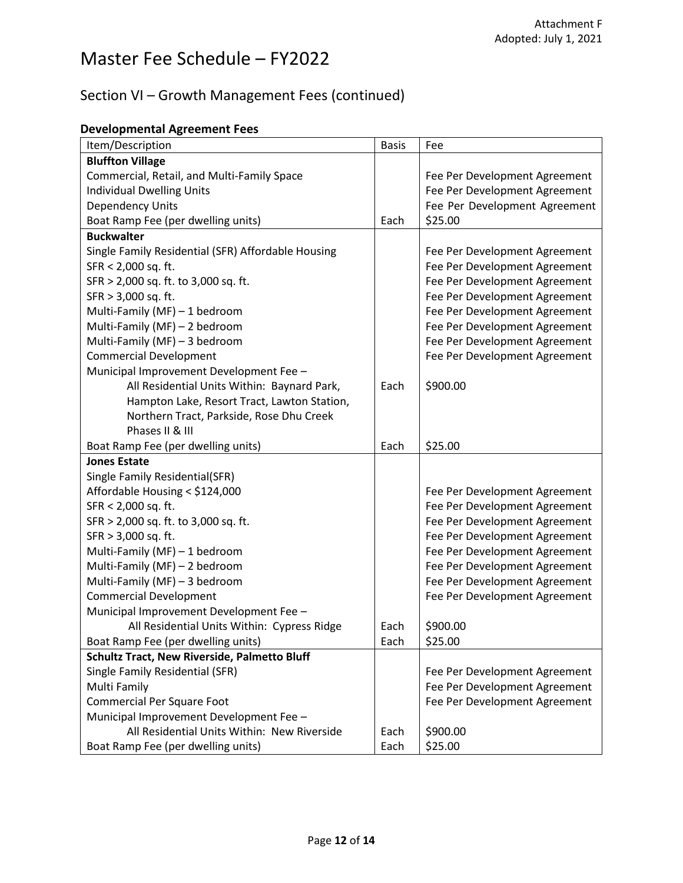## Section VI – Growth Management Fees (continued)

|  | <b>Developmental Agreement Fees</b> |
|--|-------------------------------------|
|--|-------------------------------------|

| Item/Description                                   | <b>Basis</b> | Fee                           |
|----------------------------------------------------|--------------|-------------------------------|
| <b>Bluffton Village</b>                            |              |                               |
| Commercial, Retail, and Multi-Family Space         |              | Fee Per Development Agreement |
| <b>Individual Dwelling Units</b>                   |              | Fee Per Development Agreement |
| <b>Dependency Units</b>                            |              | Fee Per Development Agreement |
| Boat Ramp Fee (per dwelling units)                 | Each         | \$25.00                       |
| <b>Buckwalter</b>                                  |              |                               |
| Single Family Residential (SFR) Affordable Housing |              | Fee Per Development Agreement |
| SFR < 2,000 sq. ft.                                |              | Fee Per Development Agreement |
| SFR > 2,000 sq. ft. to 3,000 sq. ft.               |              | Fee Per Development Agreement |
| SFR > 3,000 sq. ft.                                |              | Fee Per Development Agreement |
| Multi-Family (MF) - 1 bedroom                      |              | Fee Per Development Agreement |
| Multi-Family (MF) - 2 bedroom                      |              | Fee Per Development Agreement |
| Multi-Family (MF) - 3 bedroom                      |              | Fee Per Development Agreement |
| <b>Commercial Development</b>                      |              | Fee Per Development Agreement |
| Municipal Improvement Development Fee -            |              |                               |
| All Residential Units Within: Baynard Park,        | Each         | \$900.00                      |
| Hampton Lake, Resort Tract, Lawton Station,        |              |                               |
| Northern Tract, Parkside, Rose Dhu Creek           |              |                               |
| Phases II & III                                    |              |                               |
| Boat Ramp Fee (per dwelling units)                 | Each         | \$25.00                       |
| <b>Jones Estate</b>                                |              |                               |
| Single Family Residential(SFR)                     |              |                               |
| Affordable Housing < \$124,000                     |              | Fee Per Development Agreement |
| SFR < 2,000 sq. ft.                                |              | Fee Per Development Agreement |
| SFR > 2,000 sq. ft. to 3,000 sq. ft.               |              | Fee Per Development Agreement |
| SFR > 3,000 sq. ft.                                |              | Fee Per Development Agreement |
| Multi-Family (MF) - 1 bedroom                      |              | Fee Per Development Agreement |
| Multi-Family (MF) - 2 bedroom                      |              | Fee Per Development Agreement |
| Multi-Family (MF) - 3 bedroom                      |              | Fee Per Development Agreement |
| <b>Commercial Development</b>                      |              | Fee Per Development Agreement |
| Municipal Improvement Development Fee -            |              |                               |
| All Residential Units Within: Cypress Ridge        | Each         | \$900.00                      |
| Boat Ramp Fee (per dwelling units)                 | Each         | \$25.00                       |
| Schultz Tract, New Riverside, Palmetto Bluff       |              |                               |
| Single Family Residential (SFR)                    |              | Fee Per Development Agreement |
| Multi Family                                       |              | Fee Per Development Agreement |
| <b>Commercial Per Square Foot</b>                  |              | Fee Per Development Agreement |
| Municipal Improvement Development Fee -            |              |                               |
| All Residential Units Within: New Riverside        | Each         | \$900.00                      |
| Boat Ramp Fee (per dwelling units)                 | Each         | \$25.00                       |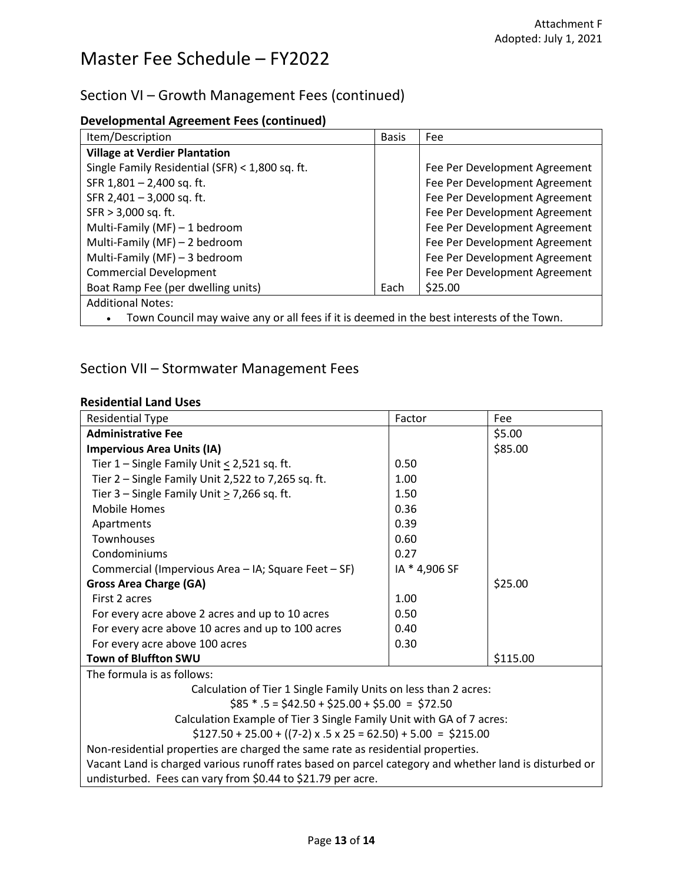### Section VI – Growth Management Fees (continued)

| <b>Developmental Agreement Fees (continued)</b> |  |
|-------------------------------------------------|--|
|-------------------------------------------------|--|

| Item/Description                                                                          | <b>Basis</b> | Fee                           |
|-------------------------------------------------------------------------------------------|--------------|-------------------------------|
| <b>Village at Verdier Plantation</b>                                                      |              |                               |
| Single Family Residential (SFR) < 1,800 sq. ft.                                           |              | Fee Per Development Agreement |
| SFR 1,801 - 2,400 sq. ft.                                                                 |              | Fee Per Development Agreement |
| SFR 2,401 - 3,000 sq. ft.                                                                 |              | Fee Per Development Agreement |
| SFR > 3,000 sq. ft.                                                                       |              | Fee Per Development Agreement |
| Multi-Family (MF) - 1 bedroom                                                             |              | Fee Per Development Agreement |
| Multi-Family (MF) - 2 bedroom                                                             |              | Fee Per Development Agreement |
| Multi-Family (MF) - 3 bedroom                                                             |              | Fee Per Development Agreement |
| <b>Commercial Development</b>                                                             |              | Fee Per Development Agreement |
| Boat Ramp Fee (per dwelling units)                                                        | Each         | \$25.00                       |
| <b>Additional Notes:</b>                                                                  |              |                               |
| Town Council may waive any or all fees if it is deemed in the best interests of the Town. |              |                               |

### Section VII – Stormwater Management Fees

#### **Residential Land Uses**

| <b>Residential Type</b>                                                                               | Factor        | Fee      |  |
|-------------------------------------------------------------------------------------------------------|---------------|----------|--|
| <b>Administrative Fee</b>                                                                             |               | \$5.00   |  |
| <b>Impervious Area Units (IA)</b>                                                                     |               | \$85.00  |  |
| Tier $1$ – Single Family Unit $\leq$ 2,521 sq. ft.                                                    | 0.50          |          |  |
| Tier $2$ – Single Family Unit 2,522 to 7,265 sq. ft.                                                  | 1.00          |          |  |
| Tier 3 – Single Family Unit $\geq$ 7,266 sq. ft.                                                      | 1.50          |          |  |
| <b>Mobile Homes</b>                                                                                   | 0.36          |          |  |
| Apartments                                                                                            | 0.39          |          |  |
| Townhouses                                                                                            | 0.60          |          |  |
| Condominiums                                                                                          | 0.27          |          |  |
| Commercial (Impervious Area – IA; Square Feet – SF)                                                   | IA * 4,906 SF |          |  |
| <b>Gross Area Charge (GA)</b>                                                                         |               | \$25.00  |  |
| First 2 acres                                                                                         | 1.00          |          |  |
| For every acre above 2 acres and up to 10 acres                                                       | 0.50          |          |  |
| For every acre above 10 acres and up to 100 acres                                                     | 0.40          |          |  |
| For every acre above 100 acres                                                                        | 0.30          |          |  |
| <b>Town of Bluffton SWU</b>                                                                           |               | \$115.00 |  |
| The formula is as follows:                                                                            |               |          |  |
| Calculation of Tier 1 Single Family Units on less than 2 acres:                                       |               |          |  |
| $$85 * .5 = $42.50 + $25.00 + $5.00 = $72.50$                                                         |               |          |  |
| Calculation Example of Tier 3 Single Family Unit with GA of 7 acres:                                  |               |          |  |
| $$127.50 + 25.00 + ((7-2) \times .5 \times 25 = 62.50) + 5.00 = $215.00$                              |               |          |  |
| Non-residential properties are charged the same rate as residential properties.                       |               |          |  |
| Vacant Land is charged various runoff rates based on parcel category and whether land is disturbed or |               |          |  |
| undisturbed. Fees can vary from \$0.44 to \$21.79 per acre.                                           |               |          |  |